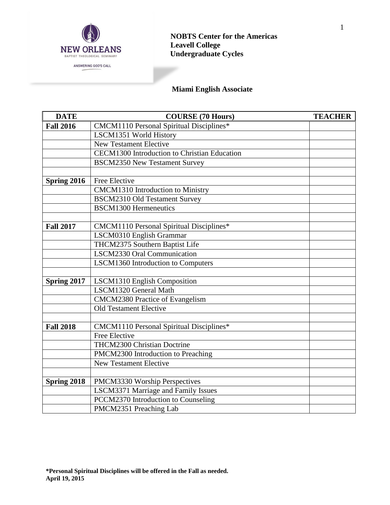

## **NOBTS Center for the Americas Leavell College Undergraduate Cycles**

# **Miami English Associate**

| <b>DATE</b>      | <b>COURSE (70 Hours)</b>                        | <b>TEACHER</b> |
|------------------|-------------------------------------------------|----------------|
| <b>Fall 2016</b> | <b>CMCM1110 Personal Spiritual Disciplines*</b> |                |
|                  | LSCM1351 World History                          |                |
|                  | <b>New Testament Elective</b>                   |                |
|                  | CECM1300 Introduction to Christian Education    |                |
|                  | <b>BSCM2350 New Testament Survey</b>            |                |
|                  |                                                 |                |
| Spring 2016      | Free Elective                                   |                |
|                  | CMCM1310 Introduction to Ministry               |                |
|                  | <b>BSCM2310 Old Testament Survey</b>            |                |
|                  | <b>BSCM1300 Hermeneutics</b>                    |                |
|                  |                                                 |                |
| <b>Fall 2017</b> | CMCM1110 Personal Spiritual Disciplines*        |                |
|                  | LSCM0310 English Grammar                        |                |
|                  | THCM2375 Southern Baptist Life                  |                |
|                  | LSCM2330 Oral Communication                     |                |
|                  | LSCM1360 Introduction to Computers              |                |
|                  |                                                 |                |
| Spring 2017      | LSCM1310 English Composition                    |                |
|                  | LSCM1320 General Math                           |                |
|                  | <b>CMCM2380 Practice of Evangelism</b>          |                |
|                  | <b>Old Testament Elective</b>                   |                |
|                  |                                                 |                |
| <b>Fall 2018</b> | CMCM1110 Personal Spiritual Disciplines*        |                |
|                  | Free Elective                                   |                |
|                  | THCM2300 Christian Doctrine                     |                |
|                  | PMCM2300 Introduction to Preaching              |                |
|                  | <b>New Testament Elective</b>                   |                |
|                  |                                                 |                |
| Spring 2018      | PMCM3330 Worship Perspectives                   |                |
|                  | LSCM3371 Marriage and Family Issues             |                |
|                  | PCCM2370 Introduction to Counseling             |                |
|                  | PMCM2351 Preaching Lab                          |                |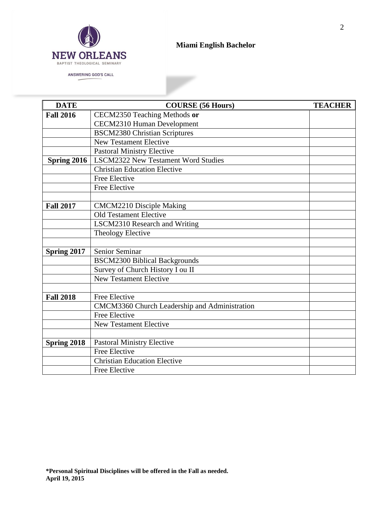

## **Miami English Bachelor**

►

ANSWERING GOD'S CALL

| <b>DATE</b>      | <b>COURSE (56 Hours)</b>                      | <b>TEACHER</b> |
|------------------|-----------------------------------------------|----------------|
| <b>Fall 2016</b> | CECM2350 Teaching Methods or                  |                |
|                  | <b>CECM2310 Human Development</b>             |                |
|                  | <b>BSCM2380 Christian Scriptures</b>          |                |
|                  | <b>New Testament Elective</b>                 |                |
|                  | <b>Pastoral Ministry Elective</b>             |                |
| Spring 2016      | <b>LSCM2322 New Testament Word Studies</b>    |                |
|                  | <b>Christian Education Elective</b>           |                |
|                  | Free Elective                                 |                |
|                  | Free Elective                                 |                |
|                  |                                               |                |
| <b>Fall 2017</b> | <b>CMCM2210 Disciple Making</b>               |                |
|                  | <b>Old Testament Elective</b>                 |                |
|                  | <b>LSCM2310 Research and Writing</b>          |                |
|                  | <b>Theology Elective</b>                      |                |
|                  |                                               |                |
| Spring 2017      | Senior Seminar                                |                |
|                  | <b>BSCM2300 Biblical Backgrounds</b>          |                |
|                  | Survey of Church History I ou II              |                |
|                  | <b>New Testament Elective</b>                 |                |
|                  |                                               |                |
| <b>Fall 2018</b> | Free Elective                                 |                |
|                  | CMCM3360 Church Leadership and Administration |                |
|                  | Free Elective                                 |                |
|                  | <b>New Testament Elective</b>                 |                |
|                  |                                               |                |
| Spring 2018      | <b>Pastoral Ministry Elective</b>             |                |
|                  | <b>Free Elective</b>                          |                |
|                  | <b>Christian Education Elective</b>           |                |
|                  | Free Elective                                 |                |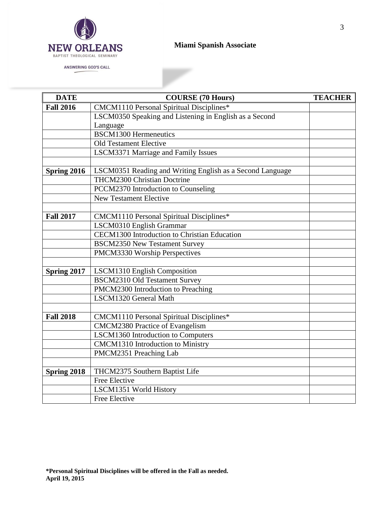

ANSWERING GOD'S CALL

## **Miami Spanish Associate**

►

| <b>DATE</b>      | <b>COURSE (70 Hours)</b>                                  | <b>TEACHER</b> |
|------------------|-----------------------------------------------------------|----------------|
| <b>Fall 2016</b> | <b>CMCM1110 Personal Spiritual Disciplines*</b>           |                |
|                  | LSCM0350 Speaking and Listening in English as a Second    |                |
|                  | Language                                                  |                |
|                  | <b>BSCM1300 Hermeneutics</b>                              |                |
|                  | <b>Old Testament Elective</b>                             |                |
|                  | <b>LSCM3371 Marriage and Family Issues</b>                |                |
|                  |                                                           |                |
| Spring 2016      | LSCM0351 Reading and Writing English as a Second Language |                |
|                  | THCM2300 Christian Doctrine                               |                |
|                  | PCCM2370 Introduction to Counseling                       |                |
|                  | <b>New Testament Elective</b>                             |                |
|                  |                                                           |                |
| <b>Fall 2017</b> | CMCM1110 Personal Spiritual Disciplines*                  |                |
|                  | LSCM0310 English Grammar                                  |                |
|                  | CECM1300 Introduction to Christian Education              |                |
|                  | <b>BSCM2350 New Testament Survey</b>                      |                |
|                  | PMCM3330 Worship Perspectives                             |                |
|                  |                                                           |                |
| Spring 2017      | LSCM1310 English Composition                              |                |
|                  | <b>BSCM2310 Old Testament Survey</b>                      |                |
|                  | PMCM2300 Introduction to Preaching                        |                |
|                  | LSCM1320 General Math                                     |                |
|                  |                                                           |                |
| <b>Fall 2018</b> | CMCM1110 Personal Spiritual Disciplines*                  |                |
|                  | CMCM2380 Practice of Evangelism                           |                |
|                  | LSCM1360 Introduction to Computers                        |                |
|                  | CMCM1310 Introduction to Ministry                         |                |
|                  | PMCM2351 Preaching Lab                                    |                |
|                  |                                                           |                |
| Spring 2018      | THCM2375 Southern Baptist Life                            |                |
|                  | Free Elective                                             |                |
|                  | LSCM1351 World History                                    |                |
|                  | <b>Free Elective</b>                                      |                |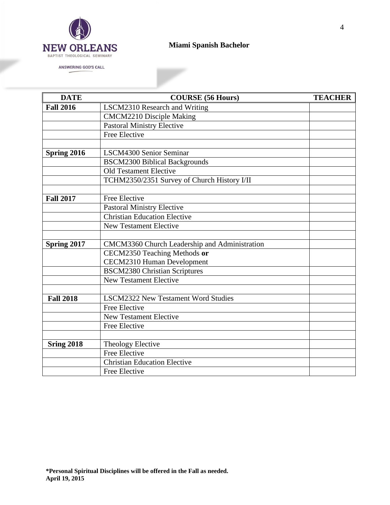

ANSWERING GOD'S CALL

# **Miami Spanish Bachelor**

×

| <b>DATE</b>       | <b>COURSE (56 Hours)</b>                      | <b>TEACHER</b> |
|-------------------|-----------------------------------------------|----------------|
| <b>Fall 2016</b>  | LSCM2310 Research and Writing                 |                |
|                   | <b>CMCM2210 Disciple Making</b>               |                |
|                   | <b>Pastoral Ministry Elective</b>             |                |
|                   | <b>Free Elective</b>                          |                |
|                   |                                               |                |
| Spring 2016       | <b>LSCM4300 Senior Seminar</b>                |                |
|                   | <b>BSCM2300 Biblical Backgrounds</b>          |                |
|                   | <b>Old Testament Elective</b>                 |                |
|                   | TCHM2350/2351 Survey of Church History I/II   |                |
|                   |                                               |                |
| <b>Fall 2017</b>  | Free Elective                                 |                |
|                   | <b>Pastoral Ministry Elective</b>             |                |
|                   | <b>Christian Education Elective</b>           |                |
|                   | <b>New Testament Elective</b>                 |                |
|                   |                                               |                |
| Spring 2017       | CMCM3360 Church Leadership and Administration |                |
|                   | CECM2350 Teaching Methods or                  |                |
|                   | <b>CECM2310 Human Development</b>             |                |
|                   | <b>BSCM2380 Christian Scriptures</b>          |                |
|                   | <b>New Testament Elective</b>                 |                |
|                   |                                               |                |
| <b>Fall 2018</b>  | <b>LSCM2322 New Testament Word Studies</b>    |                |
|                   | Free Elective                                 |                |
|                   | <b>New Testament Elective</b>                 |                |
|                   | Free Elective                                 |                |
|                   |                                               |                |
| <b>Sring 2018</b> | Theology Elective                             |                |
|                   | <b>Free Elective</b>                          |                |
|                   | <b>Christian Education Elective</b>           |                |
|                   | Free Elective                                 |                |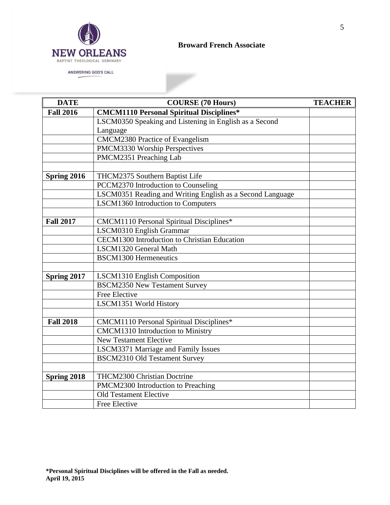

## **Broward French Associate**

►

| <b>DATE</b>      | <b>COURSE (70 Hours)</b>                                  | <b>TEACHER</b> |
|------------------|-----------------------------------------------------------|----------------|
| <b>Fall 2016</b> | <b>CMCM1110 Personal Spiritual Disciplines*</b>           |                |
|                  | LSCM0350 Speaking and Listening in English as a Second    |                |
|                  | Language                                                  |                |
|                  | <b>CMCM2380 Practice of Evangelism</b>                    |                |
|                  | PMCM3330 Worship Perspectives                             |                |
|                  | PMCM2351 Preaching Lab                                    |                |
|                  |                                                           |                |
| Spring 2016      | THCM2375 Southern Baptist Life                            |                |
|                  | PCCM2370 Introduction to Counseling                       |                |
|                  | LSCM0351 Reading and Writing English as a Second Language |                |
|                  | LSCM1360 Introduction to Computers                        |                |
|                  |                                                           |                |
| <b>Fall 2017</b> | CMCM1110 Personal Spiritual Disciplines*                  |                |
|                  | LSCM0310 English Grammar                                  |                |
|                  | CECM1300 Introduction to Christian Education              |                |
|                  | LSCM1320 General Math                                     |                |
|                  | <b>BSCM1300 Hermeneutics</b>                              |                |
|                  |                                                           |                |
| Spring 2017      | LSCM1310 English Composition                              |                |
|                  | <b>BSCM2350 New Testament Survey</b>                      |                |
|                  | Free Elective                                             |                |
|                  | LSCM1351 World History                                    |                |
|                  |                                                           |                |
| <b>Fall 2018</b> | <b>CMCM1110 Personal Spiritual Disciplines*</b>           |                |
|                  | <b>CMCM1310</b> Introduction to Ministry                  |                |
|                  | <b>New Testament Elective</b>                             |                |
|                  | LSCM3371 Marriage and Family Issues                       |                |
|                  | <b>BSCM2310 Old Testament Survey</b>                      |                |
|                  |                                                           |                |
| Spring 2018      | <b>THCM2300 Christian Doctrine</b>                        |                |
|                  | PMCM2300 Introduction to Preaching                        |                |
|                  | <b>Old Testament Elective</b>                             |                |
|                  | Free Elective                                             |                |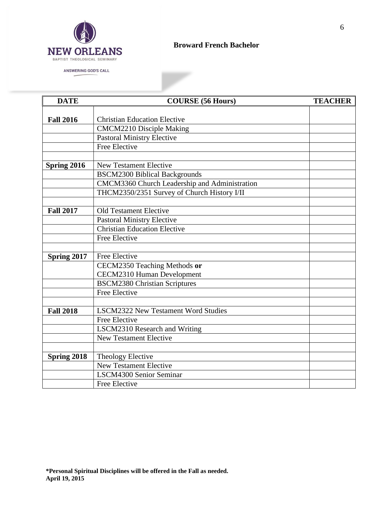

ANSWERING GOD'S CALL

#### **Broward French Bachelor**

×

| <b>DATE</b>      | <b>COURSE (56 Hours)</b>                      | <b>TEACHER</b> |
|------------------|-----------------------------------------------|----------------|
|                  |                                               |                |
| <b>Fall 2016</b> | <b>Christian Education Elective</b>           |                |
|                  | <b>CMCM2210 Disciple Making</b>               |                |
|                  | <b>Pastoral Ministry Elective</b>             |                |
|                  | Free Elective                                 |                |
|                  |                                               |                |
| Spring 2016      | <b>New Testament Elective</b>                 |                |
|                  | <b>BSCM2300 Biblical Backgrounds</b>          |                |
|                  | CMCM3360 Church Leadership and Administration |                |
|                  | THCM2350/2351 Survey of Church History I/II   |                |
|                  |                                               |                |
| <b>Fall 2017</b> | <b>Old Testament Elective</b>                 |                |
|                  | <b>Pastoral Ministry Elective</b>             |                |
|                  | <b>Christian Education Elective</b>           |                |
|                  | <b>Free Elective</b>                          |                |
|                  |                                               |                |
| Spring 2017      | Free Elective                                 |                |
|                  | CECM2350 Teaching Methods or                  |                |
|                  | <b>CECM2310 Human Development</b>             |                |
|                  | <b>BSCM2380 Christian Scriptures</b>          |                |
|                  | <b>Free Elective</b>                          |                |
|                  |                                               |                |
| <b>Fall 2018</b> | <b>LSCM2322 New Testament Word Studies</b>    |                |
|                  | Free Elective                                 |                |
|                  | <b>LSCM2310 Research and Writing</b>          |                |
|                  | <b>New Testament Elective</b>                 |                |
|                  |                                               |                |
| Spring 2018      | Theology Elective                             |                |
|                  | <b>New Testament Elective</b>                 |                |
|                  | <b>LSCM4300 Senior Seminar</b>                |                |
|                  | <b>Free Elective</b>                          |                |